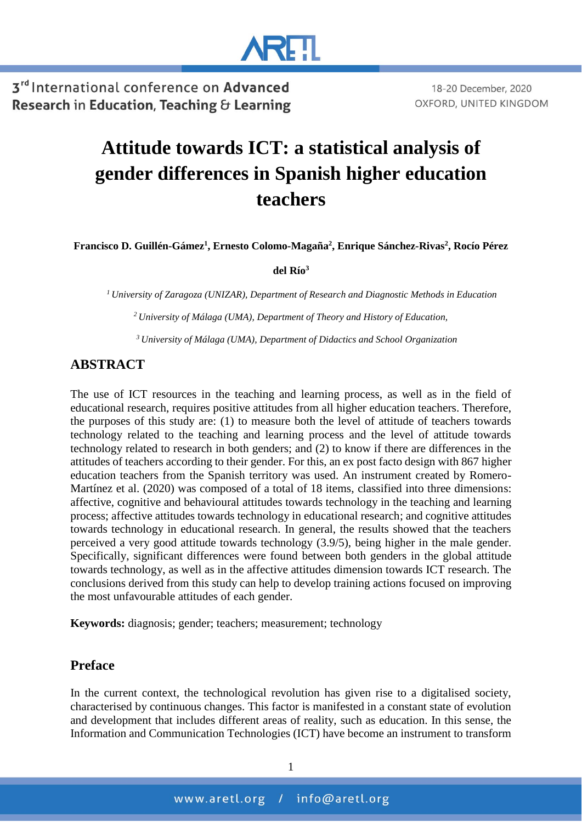

# **Attitude towards ICT: a statistical analysis of gender differences in Spanish higher education teachers**

**Francisco D. Guillén-Gámez<sup>1</sup> , Ernesto Colomo-Magaña<sup>2</sup> , Enrique Sánchez-Rivas<sup>2</sup> , Rocío Pérez** 

**del Río<sup>3</sup>**

*<sup>1</sup>University of Zaragoza (UNIZAR), Department of Research and Diagnostic Methods in Education*

*<sup>2</sup>University of Málaga (UMA), Department of Theory and History of Education,*

*<sup>3</sup>University of Málaga (UMA), Department of Didactics and School Organization*

### **ABSTRACT**

The use of ICT resources in the teaching and learning process, as well as in the field of educational research, requires positive attitudes from all higher education teachers. Therefore, the purposes of this study are: (1) to measure both the level of attitude of teachers towards technology related to the teaching and learning process and the level of attitude towards technology related to research in both genders; and (2) to know if there are differences in the attitudes of teachers according to their gender. For this, an ex post facto design with 867 higher education teachers from the Spanish territory was used. An instrument created by Romero-Martínez et al. (2020) was composed of a total of 18 items, classified into three dimensions: affective, cognitive and behavioural attitudes towards technology in the teaching and learning process; affective attitudes towards technology in educational research; and cognitive attitudes towards technology in educational research. In general, the results showed that the teachers perceived a very good attitude towards technology (3.9/5), being higher in the male gender. Specifically, significant differences were found between both genders in the global attitude towards technology, as well as in the affective attitudes dimension towards ICT research. The conclusions derived from this study can help to develop training actions focused on improving the most unfavourable attitudes of each gender.

**Keywords:** diagnosis; gender; teachers; measurement; technology

#### **Preface**

In the current context, the technological revolution has given rise to a digitalised society, characterised by continuous changes. This factor is manifested in a constant state of evolution and development that includes different areas of reality, such as education. In this sense, the Information and Communication Technologies (ICT) have become an instrument to transform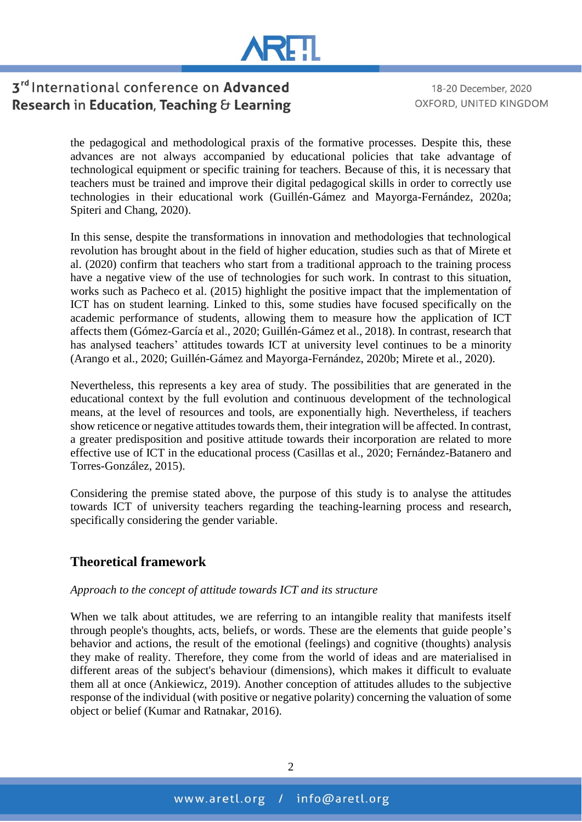

18-20 December, 2020 OXFORD, UNITED KINGDOM

the pedagogical and methodological praxis of the formative processes. Despite this, these advances are not always accompanied by educational policies that take advantage of technological equipment or specific training for teachers. Because of this, it is necessary that teachers must be trained and improve their digital pedagogical skills in order to correctly use technologies in their educational work (Guillén-Gámez and Mayorga-Fernández, 2020a; Spiteri and Chang, 2020).

In this sense, despite the transformations in innovation and methodologies that technological revolution has brought about in the field of higher education, studies such as that of Mirete et al. (2020) confirm that teachers who start from a traditional approach to the training process have a negative view of the use of technologies for such work. In contrast to this situation, works such as Pacheco et al. (2015) highlight the positive impact that the implementation of ICT has on student learning. Linked to this, some studies have focused specifically on the academic performance of students, allowing them to measure how the application of ICT affects them (Gómez-García et al., 2020; Guillén-Gámez et al., 2018). In contrast, research that has analysed teachers' attitudes towards ICT at university level continues to be a minority (Arango et al., 2020; Guillén-Gámez and Mayorga-Fernández, 2020b; Mirete et al., 2020).

Nevertheless, this represents a key area of study. The possibilities that are generated in the educational context by the full evolution and continuous development of the technological means, at the level of resources and tools, are exponentially high. Nevertheless, if teachers show reticence or negative attitudes towards them, their integration will be affected. In contrast, a greater predisposition and positive attitude towards their incorporation are related to more effective use of ICT in the educational process (Casillas et al., 2020; Fernández-Batanero and Torres-González, 2015).

Considering the premise stated above, the purpose of this study is to analyse the attitudes towards ICT of university teachers regarding the teaching-learning process and research, specifically considering the gender variable.

### **Theoretical framework**

#### *Approach to the concept of attitude towards ICT and its structure*

When we talk about attitudes, we are referring to an intangible reality that manifests itself through people's thoughts, acts, beliefs, or words. These are the elements that guide people's behavior and actions, the result of the emotional (feelings) and cognitive (thoughts) analysis they make of reality. Therefore, they come from the world of ideas and are materialised in different areas of the subject's behaviour (dimensions), which makes it difficult to evaluate them all at once (Ankiewicz, 2019). Another conception of attitudes alludes to the subjective response of the individual (with positive or negative polarity) concerning the valuation of some object or belief (Kumar and Ratnakar, 2016).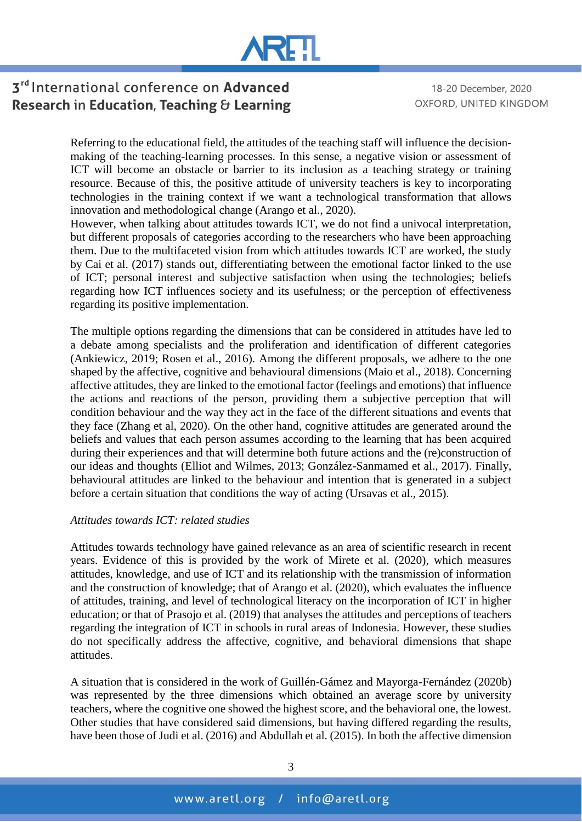

18-20 December, 2020 OXFORD, UNITED KINGDOM

Referring to the educational field, the attitudes of the teaching staff will influence the decisionmaking of the teaching-learning processes. In this sense, a negative vision or assessment of ICT will become an obstacle or barrier to its inclusion as a teaching strategy or training resource. Because of this, the positive attitude of university teachers is key to incorporating technologies in the training context if we want a technological transformation that allows innovation and methodological change (Arango et al., 2020).

However, when talking about attitudes towards ICT, we do not find a univocal interpretation, but different proposals of categories according to the researchers who have been approaching them. Due to the multifaceted vision from which attitudes towards ICT are worked, the study by Cai et al. (2017) stands out, differentiating between the emotional factor linked to the use of ICT; personal interest and subjective satisfaction when using the technologies; beliefs regarding how ICT influences society and its usefulness; or the perception of effectiveness regarding its positive implementation.

The multiple options regarding the dimensions that can be considered in attitudes have led to a debate among specialists and the proliferation and identification of different categories (Ankiewicz, 2019; Rosen et al., 2016). Among the different proposals, we adhere to the one shaped by the affective, cognitive and behavioural dimensions (Maio et al., 2018). Concerning affective attitudes, they are linked to the emotional factor (feelings and emotions) that influence the actions and reactions of the person, providing them a subjective perception that will condition behaviour and the way they act in the face of the different situations and events that they face (Zhang et al, 2020). On the other hand, cognitive attitudes are generated around the beliefs and values that each person assumes according to the learning that has been acquired during their experiences and that will determine both future actions and the (re)construction of our ideas and thoughts (Elliot and Wilmes, 2013; González-Sanmamed et al., 2017). Finally, behavioural attitudes are linked to the behaviour and intention that is generated in a subject before a certain situation that conditions the way of acting (Ursavas et al., 2015).

#### *Attitudes towards ICT: related studies*

Attitudes towards technology have gained relevance as an area of scientific research in recent years. Evidence of this is provided by the work of Mirete et al. (2020), which measures attitudes, knowledge, and use of ICT and its relationship with the transmission of information and the construction of knowledge; that of Arango et al. (2020), which evaluates the influence of attitudes, training, and level of technological literacy on the incorporation of ICT in higher education; or that of Prasojo et al. (2019) that analyses the attitudes and perceptions of teachers regarding the integration of ICT in schools in rural areas of Indonesia. However, these studies do not specifically address the affective, cognitive, and behavioral dimensions that shape attitudes.

A situation that is considered in the work of Guillén-Gámez and Mayorga-Fernández (2020b) was represented by the three dimensions which obtained an average score by university teachers, where the cognitive one showed the highest score, and the behavioral one, the lowest. Other studies that have considered said dimensions, but having differed regarding the results, have been those of Judi et al. (2016) and Abdullah et al. (2015). In both the affective dimension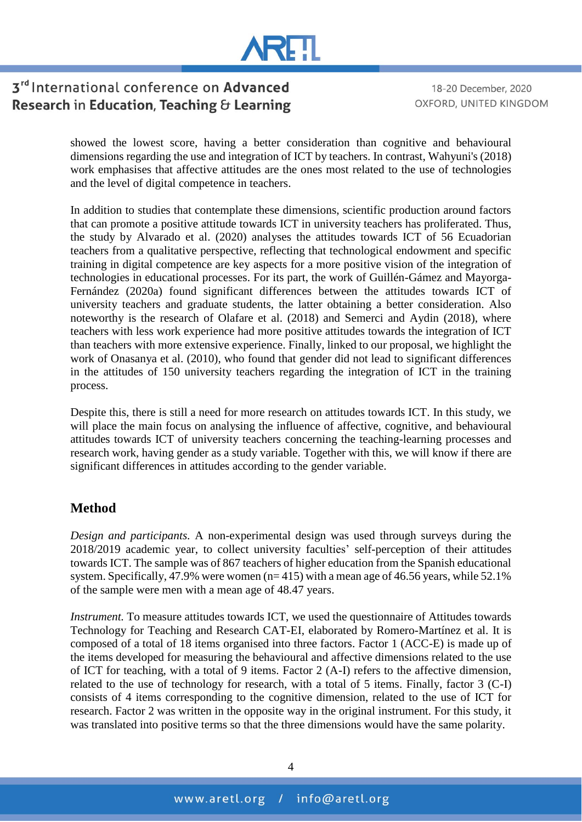

18-20 December, 2020 OXFORD, UNITED KINGDOM

showed the lowest score, having a better consideration than cognitive and behavioural dimensions regarding the use and integration of ICT by teachers. In contrast, Wahyuni's (2018) work emphasises that affective attitudes are the ones most related to the use of technologies and the level of digital competence in teachers.

In addition to studies that contemplate these dimensions, scientific production around factors that can promote a positive attitude towards ICT in university teachers has proliferated. Thus, the study by Alvarado et al. (2020) analyses the attitudes towards ICT of 56 Ecuadorian teachers from a qualitative perspective, reflecting that technological endowment and specific training in digital competence are key aspects for a more positive vision of the integration of technologies in educational processes. For its part, the work of Guillén-Gámez and Mayorga-Fernández (2020a) found significant differences between the attitudes towards ICT of university teachers and graduate students, the latter obtaining a better consideration. Also noteworthy is the research of Olafare et al. (2018) and Semerci and Aydin (2018), where teachers with less work experience had more positive attitudes towards the integration of ICT than teachers with more extensive experience. Finally, linked to our proposal, we highlight the work of Onasanya et al. (2010), who found that gender did not lead to significant differences in the attitudes of 150 university teachers regarding the integration of ICT in the training process.

Despite this, there is still a need for more research on attitudes towards ICT. In this study, we will place the main focus on analysing the influence of affective, cognitive, and behavioural attitudes towards ICT of university teachers concerning the teaching-learning processes and research work, having gender as a study variable. Together with this, we will know if there are significant differences in attitudes according to the gender variable.

## **Method**

*Design and participants.* A non-experimental design was used through surveys during the 2018/2019 academic year, to collect university faculties' self-perception of their attitudes towards ICT. The sample was of 867 teachers of higher education from the Spanish educational system. Specifically, 47.9% were women (n= 415) with a mean age of 46.56 years, while 52.1% of the sample were men with a mean age of 48.47 years.

*Instrument.* To measure attitudes towards ICT, we used the questionnaire of Attitudes towards Technology for Teaching and Research CAT-EI, elaborated by Romero-Martínez et al. It is composed of a total of 18 items organised into three factors. Factor 1 (ACC-E) is made up of the items developed for measuring the behavioural and affective dimensions related to the use of ICT for teaching, with a total of 9 items. Factor 2 (A-I) refers to the affective dimension, related to the use of technology for research, with a total of 5 items. Finally, factor 3 (C-I) consists of 4 items corresponding to the cognitive dimension, related to the use of ICT for research. Factor 2 was written in the opposite way in the original instrument. For this study, it was translated into positive terms so that the three dimensions would have the same polarity.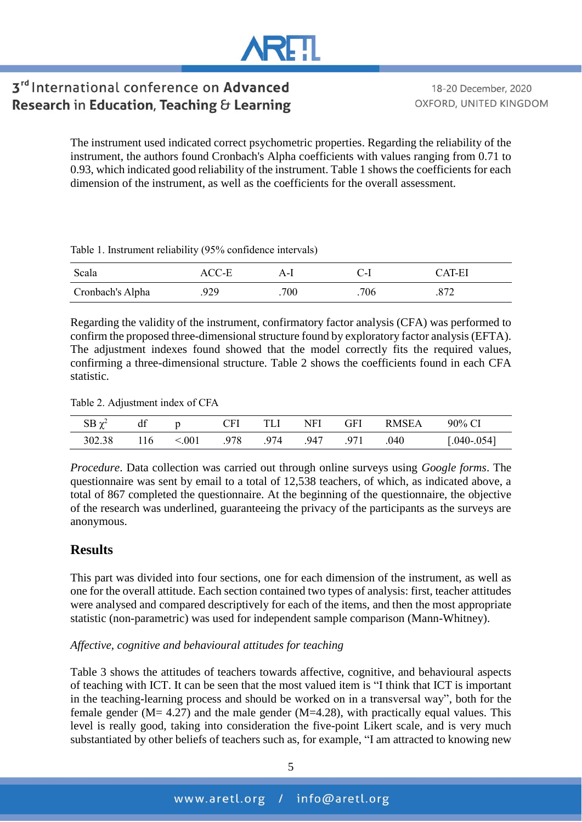18-20 December, 2020 OXFORD, UNITED KINGDOM

The instrument used indicated correct psychometric properties. Regarding the reliability of the instrument, the authors found Cronbach's Alpha coefficients with values ranging from 0.71 to 0.93, which indicated good reliability of the instrument. Table 1 shows the coefficients for each dimension of the instrument, as well as the coefficients for the overall assessment.

Table 1. Instrument reliability (95% confidence intervals)

| Scala            | ACC-E | $\mathbf{A}$ -1 | C 1–1 | CAT-EI |
|------------------|-------|-----------------|-------|--------|
| Cronbach's Alpha | 929   | 700             | 706   |        |

Regarding the validity of the instrument, confirmatory factor analysis (CFA) was performed to confirm the proposed three-dimensional structure found by exploratory factor analysis (EFTA). The adjustment indexes found showed that the model correctly fits the required values, confirming a three-dimensional structure. Table 2 shows the coefficients found in each CFA statistic.

Table 2. Adjustment index of CFA

| $SB \chi^2$ | df  |        | CFI  | TLI  | NFI  | <b>GFI</b> | <b>RMSEA</b> | 90% CI         |
|-------------|-----|--------|------|------|------|------------|--------------|----------------|
| 302.38      | 116 | < 0.01 | .978 | .974 | .947 | .971       | 040          | $.040 - .054]$ |

*Procedure*. Data collection was carried out through online surveys using *Google forms*. The questionnaire was sent by email to a total of 12,538 teachers, of which, as indicated above, a total of 867 completed the questionnaire. At the beginning of the questionnaire, the objective of the research was underlined, guaranteeing the privacy of the participants as the surveys are anonymous.

## **Results**

This part was divided into four sections, one for each dimension of the instrument, as well as one for the overall attitude. Each section contained two types of analysis: first, teacher attitudes were analysed and compared descriptively for each of the items, and then the most appropriate statistic (non-parametric) was used for independent sample comparison (Mann-Whitney).

#### *Affective, cognitive and behavioural attitudes for teaching*

Table 3 shows the attitudes of teachers towards affective, cognitive, and behavioural aspects of teaching with ICT. It can be seen that the most valued item is "I think that ICT is important in the teaching-learning process and should be worked on in a transversal way", both for the female gender ( $M = 4.27$ ) and the male gender ( $M = 4.28$ ), with practically equal values. This level is really good, taking into consideration the five-point Likert scale, and is very much substantiated by other beliefs of teachers such as, for example, "I am attracted to knowing new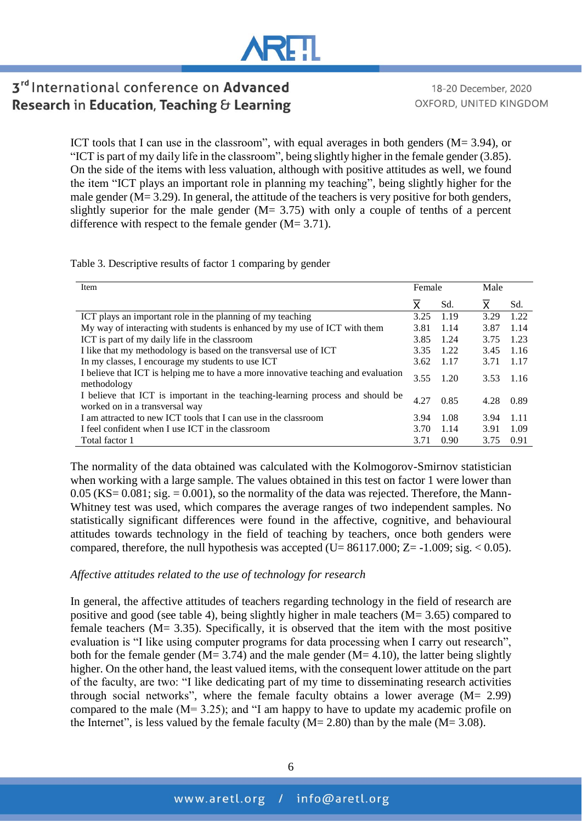# **\RH**

# 3rd International conference on Advanced Research in Education, Teaching & Learning

18-20 December, 2020 OXFORD, UNITED KINGDOM

ICT tools that I can use in the classroom", with equal averages in both genders (M= 3.94), or "ICT is part of my daily life in the classroom", being slightly higher in the female gender (3.85). On the side of the items with less valuation, although with positive attitudes as well, we found the item "ICT plays an important role in planning my teaching", being slightly higher for the male gender (M= 3.29). In general, the attitude of the teachers is very positive for both genders, slightly superior for the male gender  $(M = 3.75)$  with only a couple of tenths of a percent difference with respect to the female gender  $(M= 3.71)$ .

Table 3. Descriptive results of factor 1 comparing by gender

| <b>Item</b>                                                                                                      | Female |      | Male |       |  |
|------------------------------------------------------------------------------------------------------------------|--------|------|------|-------|--|
|                                                                                                                  | X.     | Sd.  | X    | Sd.   |  |
| ICT plays an important role in the planning of my teaching                                                       | 3.25   | 1.19 | 3.29 | 1.22  |  |
| My way of interacting with students is enhanced by my use of ICT with them                                       | 3.81   | 1.14 | 3.87 | 1.14  |  |
| ICT is part of my daily life in the classroom                                                                    | 3.85   | 1.24 | 3.75 | 1.23  |  |
| I like that my methodology is based on the transversal use of ICT                                                | 3.35   | 1.22 | 3.45 | 1.16  |  |
| In my classes, I encourage my students to use ICT                                                                | 3.62   | 1.17 | 3.71 | 1.17  |  |
| I believe that ICT is helping me to have a more innovative teaching and evaluation<br>methodology                | 3.55   | 1.20 | 3.53 | -1.16 |  |
| I believe that ICT is important in the teaching-learning process and should be<br>worked on in a transversal way | 4.27   | 0.85 | 4.28 | 0.89  |  |
| I am attracted to new ICT tools that I can use in the classroom                                                  | 3.94   | 1.08 | 3.94 | -1.11 |  |
| I feel confident when I use ICT in the classroom                                                                 | 3.70   | 1.14 | 3.91 | 1.09  |  |
| Total factor 1                                                                                                   | 3.71   | 0.90 | 3.75 | 0.91  |  |

The normality of the data obtained was calculated with the Kolmogorov-Smirnov statistician when working with a large sample. The values obtained in this test on factor 1 were lower than  $0.05$  (KS=  $0.081$ ; sig. =  $0.001$ ), so the normality of the data was rejected. Therefore, the Mann-Whitney test was used, which compares the average ranges of two independent samples. No statistically significant differences were found in the affective, cognitive, and behavioural attitudes towards technology in the field of teaching by teachers, once both genders were compared, therefore, the null hypothesis was accepted (U=  $86117.000$ ; Z=  $-1.009$ ; sig.  $< 0.05$ ).

#### *Affective attitudes related to the use of technology for research*

In general, the affective attitudes of teachers regarding technology in the field of research are positive and good (see table 4), being slightly higher in male teachers (M= 3.65) compared to female teachers  $(M= 3.35)$ . Specifically, it is observed that the item with the most positive evaluation is "I like using computer programs for data processing when I carry out research", both for the female gender ( $M = 3.74$ ) and the male gender ( $M = 4.10$ ), the latter being slightly higher. On the other hand, the least valued items, with the consequent lower attitude on the part of the faculty, are two: "I like dedicating part of my time to disseminating research activities through social networks", where the female faculty obtains a lower average (M= 2.99) compared to the male (M= 3.25); and "I am happy to have to update my academic profile on the Internet", is less valued by the female faculty  $(M= 2.80)$  than by the male  $(M= 3.08)$ .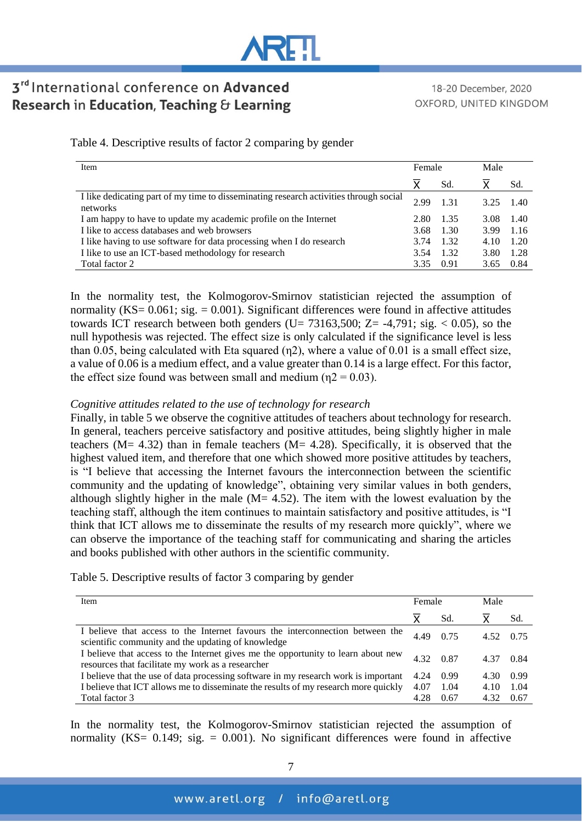

18-20 December, 2020 OXFORD, UNITED KINGDOM

| Item                                                                                              | Female |       | Male |       |  |
|---------------------------------------------------------------------------------------------------|--------|-------|------|-------|--|
|                                                                                                   | Χ      | Sd.   | x    | Sd.   |  |
| I like dedicating part of my time to disseminating research activities through social<br>networks | 2.99   | 1 3 1 | 325  | -1.40 |  |
| I am happy to have to update my academic profile on the Internet                                  | 2.80   | 1.35  | 3.08 | -1.40 |  |
| I like to access databases and web browsers                                                       | 3.68   | 1.30  | 3.99 | 1.16  |  |
| I like having to use software for data processing when I do research                              | 3.74   | 1.32  | 4.10 | 1.20  |  |
| I like to use an ICT-based methodology for research                                               | 3.54   | 1.32  | 3.80 | 1.28  |  |
| Total factor 2                                                                                    | 3.35   | 0.91  | 3.65 | 0.84  |  |

In the normality test, the Kolmogorov-Smirnov statistician rejected the assumption of normality ( $KS = 0.061$ ; sig. = 0.001). Significant differences were found in affective attitudes towards ICT research between both genders (U=  $73163,500$ ; Z=  $-4,791$ ; sig.  $< 0.05$ ), so the null hypothesis was rejected. The effect size is only calculated if the significance level is less than 0.05, being calculated with Eta squared (η2), where a value of 0.01 is a small effect size, a value of 0.06 is a medium effect, and a value greater than 0.14 is a large effect. For this factor, the effect size found was between small and medium ( $\eta$ 2 = 0.03).

#### *Cognitive attitudes related to the use of technology for research*

Finally, in table 5 we observe the cognitive attitudes of teachers about technology for research. In general, teachers perceive satisfactory and positive attitudes, being slightly higher in male teachers ( $M = 4.32$ ) than in female teachers ( $M = 4.28$ ). Specifically, it is observed that the highest valued item, and therefore that one which showed more positive attitudes by teachers, is "I believe that accessing the Internet favours the interconnection between the scientific community and the updating of knowledge", obtaining very similar values in both genders, although slightly higher in the male  $(M= 4.52)$ . The item with the lowest evaluation by the teaching staff, although the item continues to maintain satisfactory and positive attitudes, is "I think that ICT allows me to disseminate the results of my research more quickly", where we can observe the importance of the teaching staff for communicating and sharing the articles and books published with other authors in the scientific community.

#### Table 5. Descriptive results of factor 3 comparing by gender

| Item                                                                                                                                   | Female |      | Male      |      |  |
|----------------------------------------------------------------------------------------------------------------------------------------|--------|------|-----------|------|--|
|                                                                                                                                        |        | Sd.  |           | Sd.  |  |
| I believe that access to the Internet favours the interconnection between the<br>scientific community and the updating of knowledge    | 4.49   | 0.75 | 4.52 0.75 |      |  |
| I believe that access to the Internet gives me the opportunity to learn about new<br>resources that facilitate my work as a researcher |        | 0.87 | 4.37      | 0.84 |  |
| I believe that the use of data processing software in my research work is important                                                    | 4.24   | 0.99 | 4.30      | 0.99 |  |
| I believe that ICT allows me to disseminate the results of my research more quickly                                                    | 4.07   | 1.04 | 4.10      | 1.04 |  |
| Total factor 3                                                                                                                         | 4.28   | 0.67 | 4.32      | 0.67 |  |

In the normality test, the Kolmogorov-Smirnov statistician rejected the assumption of normality (KS=  $0.149$ ; sig. =  $0.001$ ). No significant differences were found in affective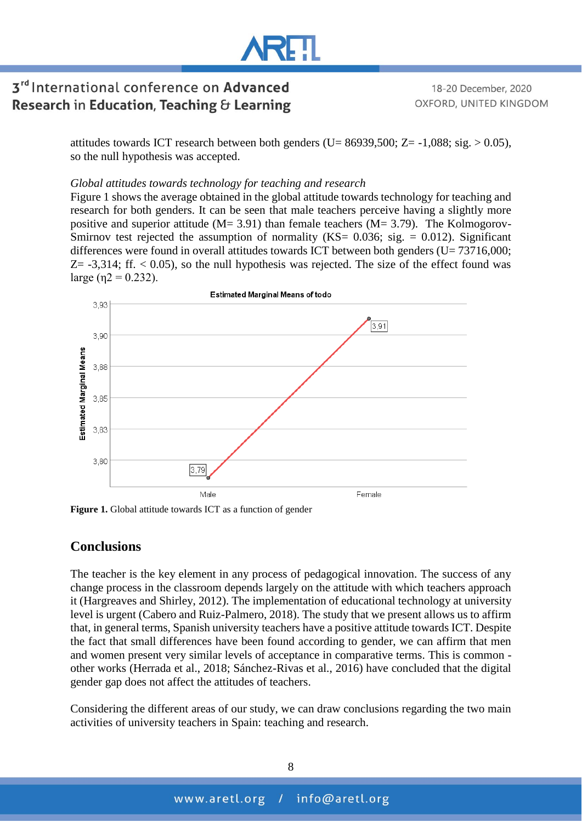

18-20 December, 2020 OXFORD, UNITED KINGDOM

attitudes towards ICT research between both genders (U= 86939,500; Z= -1,088; sig. > 0.05), so the null hypothesis was accepted.

#### *Global attitudes towards technology for teaching and research*

Figure 1 shows the average obtained in the global attitude towards technology for teaching and research for both genders. It can be seen that male teachers perceive having a slightly more positive and superior attitude  $(M= 3.91)$  than female teachers  $(M= 3.79)$ . The Kolmogorov-Smirnov test rejected the assumption of normality ( $KS = 0.036$ ; sig. = 0.012). Significant differences were found in overall attitudes towards ICT between both genders ( $U = 73716,000$ ;  $Z = -3,314$ ; ff.  $< 0.05$ ), so the null hypothesis was rejected. The size of the effect found was large (η $2 = 0.232$ ).



**Figure 1.** Global attitude towards ICT as a function of gender

#### **Conclusions**

The teacher is the key element in any process of pedagogical innovation. The success of any change process in the classroom depends largely on the attitude with which teachers approach it (Hargreaves and Shirley, 2012). The implementation of educational technology at university level is urgent (Cabero and Ruiz-Palmero, 2018). The study that we present allows us to affirm that, in general terms, Spanish university teachers have a positive attitude towards ICT. Despite the fact that small differences have been found according to gender, we can affirm that men and women present very similar levels of acceptance in comparative terms. This is common other works (Herrada et al., 2018; Sánchez-Rivas et al., 2016) have concluded that the digital gender gap does not affect the attitudes of teachers.

Considering the different areas of our study, we can draw conclusions regarding the two main activities of university teachers in Spain: teaching and research.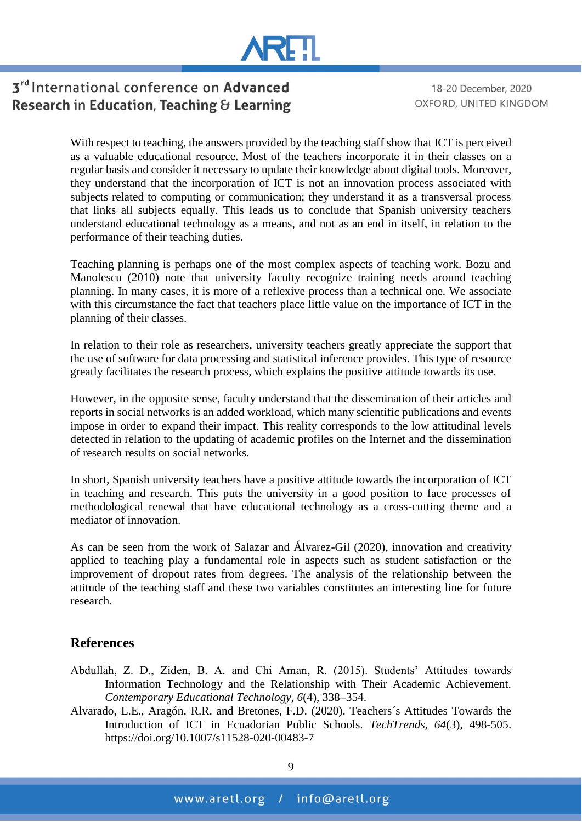

18-20 December, 2020 OXFORD, UNITED KINGDOM

With respect to teaching, the answers provided by the teaching staff show that ICT is perceived as a valuable educational resource. Most of the teachers incorporate it in their classes on a regular basis and consider it necessary to update their knowledge about digital tools. Moreover, they understand that the incorporation of ICT is not an innovation process associated with subjects related to computing or communication; they understand it as a transversal process that links all subjects equally. This leads us to conclude that Spanish university teachers understand educational technology as a means, and not as an end in itself, in relation to the performance of their teaching duties.

Teaching planning is perhaps one of the most complex aspects of teaching work. Bozu and Manolescu (2010) note that university faculty recognize training needs around teaching planning. In many cases, it is more of a reflexive process than a technical one. We associate with this circumstance the fact that teachers place little value on the importance of ICT in the planning of their classes.

In relation to their role as researchers, university teachers greatly appreciate the support that the use of software for data processing and statistical inference provides. This type of resource greatly facilitates the research process, which explains the positive attitude towards its use.

However, in the opposite sense, faculty understand that the dissemination of their articles and reports in social networks is an added workload, which many scientific publications and events impose in order to expand their impact. This reality corresponds to the low attitudinal levels detected in relation to the updating of academic profiles on the Internet and the dissemination of research results on social networks.

In short, Spanish university teachers have a positive attitude towards the incorporation of ICT in teaching and research. This puts the university in a good position to face processes of methodological renewal that have educational technology as a cross-cutting theme and a mediator of innovation.

As can be seen from the work of Salazar and Álvarez-Gil (2020), innovation and creativity applied to teaching play a fundamental role in aspects such as student satisfaction or the improvement of dropout rates from degrees. The analysis of the relationship between the attitude of the teaching staff and these two variables constitutes an interesting line for future research.

### **References**

- Abdullah, Z. D., Ziden, B. A. and Chi Aman, R. (2015). Students' Attitudes towards Information Technology and the Relationship with Their Academic Achievement. *Contemporary Educational Technology, 6*(4), 338–354.
- Alvarado, L.E., Aragón, R.R. and Bretones, F.D. (2020). Teachers´s Attitudes Towards the Introduction of ICT in Ecuadorian Public Schools. *TechTrends, 64*(3), 498-505. https://doi.org/10.1007/s11528-020-00483-7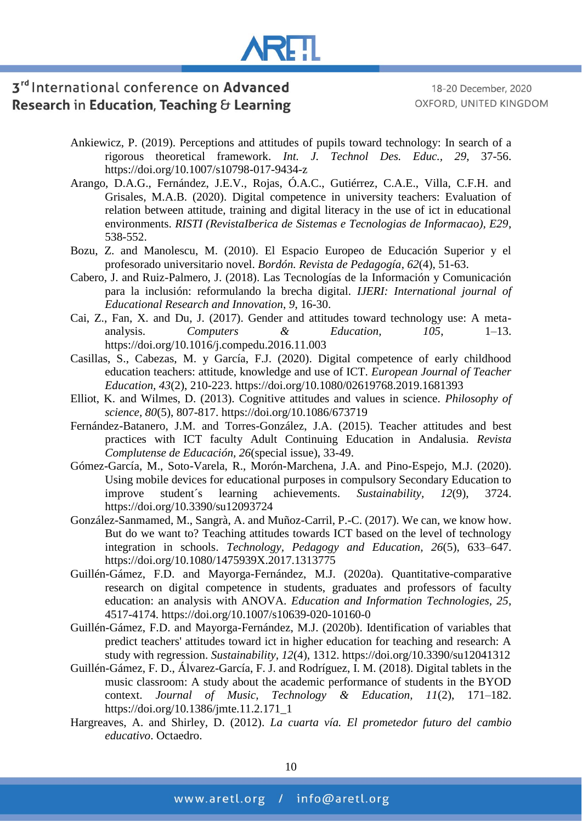

- Ankiewicz, P. (2019). Perceptions and attitudes of pupils toward technology: In search of a rigorous theoretical framework. *Int. J. Technol Des. Educ., 29*, 37-56. https://doi.org/10.1007/s10798-017-9434-z
- Arango, D.A.G., Fernández, J.E.V., Rojas, Ó.A.C., Gutiérrez, C.A.E., Villa, C.F.H. and Grisales, M.A.B. (2020). Digital competence in university teachers: Evaluation of relation between attitude, training and digital literacy in the use of ict in educational environments. *RISTI (RevistaIberica de Sistemas e Tecnologias de Informacao), E29*, 538-552.
- Bozu, Z. and Manolescu, M. (2010). El Espacio Europeo de Educación Superior y el profesorado universitario novel. *Bordón. Revista de Pedagogía*, *62*(4), 51-63.
- Cabero, J. and Ruiz-Palmero, J. (2018). Las Tecnologías de la Información y Comunicación para la inclusión: reformulando la brecha digital. *IJERI: International journal of Educational Research and Innovation*, *9*, 16-30.
- Cai, Z., Fan, X. and Du, J. (2017). Gender and attitudes toward technology use: A metaanalysis. *Computers & Education, 105*, 1–13. https://doi.org/10.1016/j.compedu.2016.11.003
- Casillas, S., Cabezas, M. y García, F.J. (2020). Digital competence of early childhood education teachers: attitude, knowledge and use of ICT. *European Journal of Teacher Education, 43*(2), 210-223. https://doi.org/10.1080/02619768.2019.1681393
- Elliot, K. and Wilmes, D. (2013). Cognitive attitudes and values in science. *Philosophy of science, 80*(5), 807-817. https://doi.org/10.1086/673719
- Fernández-Batanero, J.M. and Torres-González, J.A. (2015). Teacher attitudes and best practices with ICT faculty Adult Continuing Education in Andalusia. *Revista Complutense de Educación, 26*(special issue), 33-49.
- Gómez-García, M., Soto-Varela, R., Morón-Marchena, J.A. and Pino-Espejo, M.J. (2020). Using mobile devices for educational purposes in compulsory Secondary Education to improve student´s learning achievements. *Sustainability, 12*(9), 3724. https://doi.org/10.3390/su12093724
- González-Sanmamed, M., Sangrà, A. and Muñoz-Carril, P.-C. (2017). We can, we know how. But do we want to? Teaching attitudes towards ICT based on the level of technology integration in schools. *Technology, Pedagogy and Education, 26*(5), 633–647. https://doi.org/10.1080/1475939X.2017.1313775
- Guillén-Gámez, F.D. and Mayorga-Fernández, M.J. (2020a). Quantitative-comparative research on digital competence in students, graduates and professors of faculty education: an analysis with ANOVA. *Education and Information Technologies, 25*, 4517-4174. https://doi.org/10.1007/s10639-020-10160-0
- Guillén-Gámez, F.D. and Mayorga-Fernández, M.J. (2020b). Identification of variables that predict teachers' attitudes toward ict in higher education for teaching and research: A study with regression. *Sustainability, 12*(4), 1312. https://doi.org/10.3390/su12041312
- Guillén-Gámez, F. D., Álvarez-García, F. J. and Rodríguez, I. M. (2018). Digital tablets in the music classroom: A study about the academic performance of students in the BYOD context. *Journal of Music, Technology & Education, 11*(2), 171–182. https://doi.org/10.1386/jmte.11.2.171\_1
- Hargreaves, A. and Shirley, D. (2012). *La cuarta vía. El prometedor futuro del cambio educativo*. Octaedro.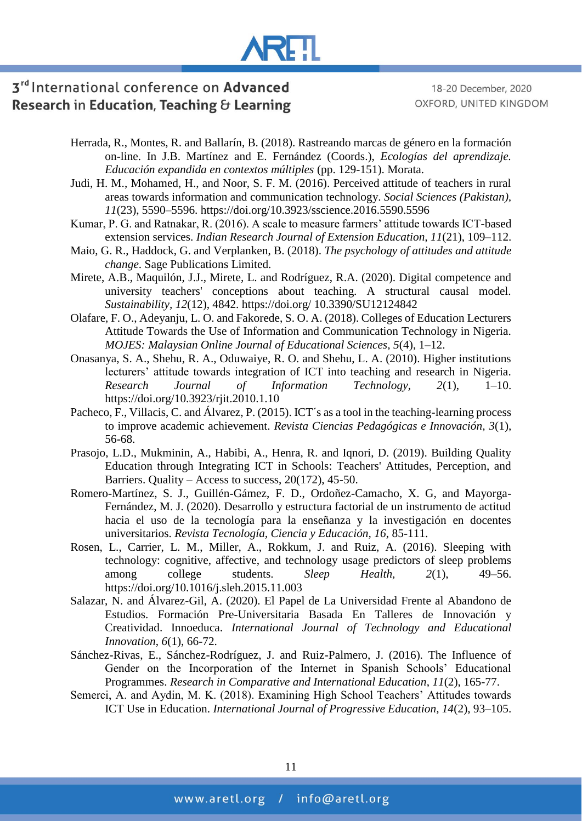# **AREIL**

# 3rd International conference on Advanced Research in Education, Teaching & Learning

18-20 December, 2020 OXFORD, UNITED KINGDOM

- Herrada, R., Montes, R. and Ballarín, B. (2018). Rastreando marcas de género en la formación on-line. In J.B. Martínez and E. Fernández (Coords.), *Ecologías del aprendizaje. Educación expandida en contextos múltiples* (pp. 129-151). Morata.
- Judi, H. M., Mohamed, H., and Noor, S. F. M. (2016). Perceived attitude of teachers in rural areas towards information and communication technology. *Social Sciences (Pakistan), 11*(23), 5590–5596. https://doi.org/10.3923/sscience.2016.5590.5596
- Kumar, P. G. and Ratnakar, R. (2016). A scale to measure farmers' attitude towards ICT-based extension services. *Indian Research Journal of Extension Education, 11*(21), 109–112.
- Maio, G. R., Haddock, G. and Verplanken, B. (2018). *The psychology of attitudes and attitude change*. Sage Publications Limited.
- Mirete, A.B., Maquilón, J.J., Mirete, L. and Rodríguez, R.A. (2020). Digital competence and university teachers' conceptions about teaching. A structural causal model. *Sustainability, 12*(12), 4842. https://doi.org/ 10.3390/SU12124842
- Olafare, F. O., Adeyanju, L. O. and Fakorede, S. O. A. (2018). Colleges of Education Lecturers Attitude Towards the Use of Information and Communication Technology in Nigeria. *MOJES: Malaysian Online Journal of Educational Sciences, 5*(4), 1–12.
- Onasanya, S. A., Shehu, R. A., Oduwaiye, R. O. and Shehu, L. A. (2010). Higher institutions lecturers' attitude towards integration of ICT into teaching and research in Nigeria. *Research Journal of Information Technology, 2*(1), 1–10. https://doi.org/10.3923/rjit.2010.1.10
- Pacheco, F., Villacis, C. and Álvarez, P. (2015). ICT´s as a tool in the teaching-learning process to improve academic achievement. *Revista Ciencias Pedagógicas e Innovación, 3*(1), 56-68.
- Prasojo, L.D., Mukminin, A., Habibi, A., Henra, R. and Iqnori, D. (2019). Building Quality Education through Integrating ICT in Schools: Teachers' Attitudes, Perception, and Barriers. Quality – Access to success,  $20(172)$ , 45-50.
- Romero-Martínez, S. J., Guillén-Gámez, F. D., Ordoñez-Camacho, X. G, and Mayorga-Fernández, M. J. (2020). Desarrollo y estructura factorial de un instrumento de actitud hacia el uso de la tecnología para la enseñanza y la investigación en docentes universitarios. *Revista Tecnología, Ciencia y Educación, 16*, 85-111.
- Rosen, L., Carrier, L. M., Miller, A., Rokkum, J. and Ruiz, A. (2016). Sleeping with technology: cognitive, affective, and technology usage predictors of sleep problems among college students. *Sleep Health, 2*(1), 49–56. https://doi.org/10.1016/j.sleh.2015.11.003
- Salazar, N. and Álvarez-Gil, A. (2020). El Papel de La Universidad Frente al Abandono de Estudios. Formación Pre-Universitaria Basada En Talleres de Innovación y Creatividad. Innoeduca. *International Journal of Technology and Educational Innovation*, *6*(1), 66-72.
- Sánchez-Rivas, E., Sánchez-Rodríguez, J. and Ruiz-Palmero, J. (2016). The Influence of Gender on the Incorporation of the Internet in Spanish Schools' Educational Programmes. *Research in Comparative and International Education*, *11*(2), 165-77.
- Semerci, A. and Aydin, M. K. (2018). Examining High School Teachers' Attitudes towards ICT Use in Education. *International Journal of Progressive Education, 14*(2), 93–105.